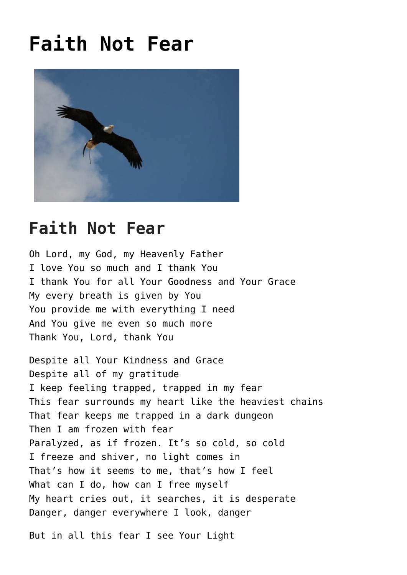## **[Faith Not Fear](https://mysticoflove.com/faith-not-fear/)**



## **Faith Not Fear**

Oh Lord, my God, my Heavenly Father I love You so much and I thank You I thank You for all Your Goodness and Your Grace My every breath is given by You You provide me with everything I need And You give me even so much more Thank You, Lord, thank You

Despite all Your Kindness and Grace Despite all of my gratitude I keep feeling trapped, trapped in my fear This fear surrounds my heart like the heaviest chains That fear keeps me trapped in a dark dungeon Then I am frozen with fear Paralyzed, as if frozen. It's so cold, so cold I freeze and shiver, no light comes in That's how it seems to me, that's how I feel What can I do, how can I free myself My heart cries out, it searches, it is desperate Danger, danger everywhere I look, danger

But in all this fear I see Your Light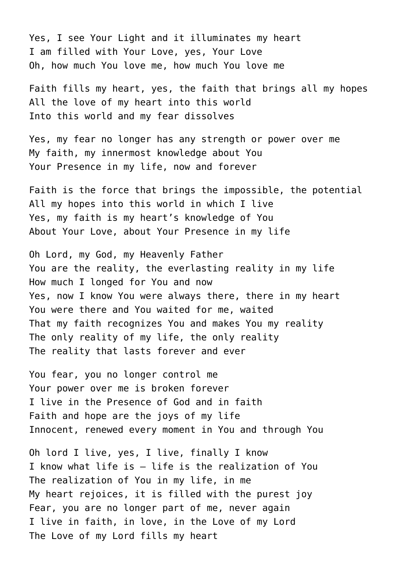Yes, I see Your Light and it illuminates my heart I am filled with Your Love, yes, Your Love Oh, how much You love me, how much You love me

Faith fills my heart, yes, the faith that brings all my hopes All the love of my heart into this world Into this world and my fear dissolves

Yes, my fear no longer has any strength or power over me My faith, my innermost knowledge about You Your Presence in my life, now and forever

Faith is the force that brings the impossible, the potential All my hopes into this world in which I live Yes, my faith is my heart's knowledge of You About Your Love, about Your Presence in my life

Oh Lord, my God, my Heavenly Father You are the reality, the everlasting reality in my life How much I longed for You and now Yes, now I know You were always there, there in my heart You were there and You waited for me, waited That my faith recognizes You and makes You my reality The only reality of my life, the only reality The reality that lasts forever and ever

You fear, you no longer control me Your power over me is broken forever I live in the Presence of God and in faith Faith and hope are the joys of my life Innocent, renewed every moment in You and through You

Oh lord I live, yes, I live, finally I know I know what life is – life is the realization of You The realization of You in my life, in me My heart rejoices, it is filled with the purest joy Fear, you are no longer part of me, never again I live in faith, in love, in the Love of my Lord The Love of my Lord fills my heart